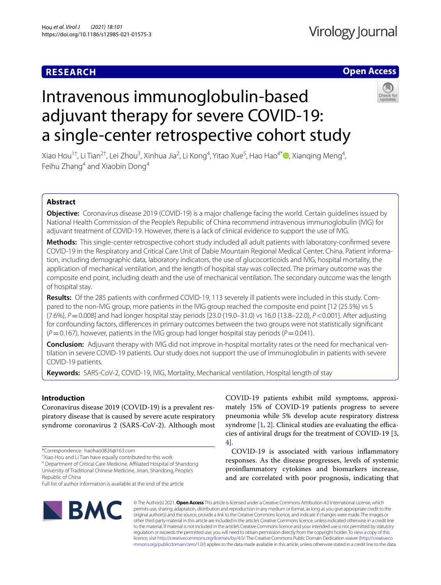# **RESEARCH**

# **Open Access**



# Intravenous immunoglobulin-based adjuvant therapy for severe COVID-19: a single-center retrospective cohort study

Xiao Hou<sup>1†</sup>, Li Tian<sup>2†</sup>, Lei Zhou<sup>3</sup>, Xinhua Jia<sup>2</sup>, Li Kong<sup>4</sup>, Yitao Xue<sup>5</sup>, Hao Hao<sup>4[\\*](http://orcid.org/0000-0003-4488-4840)</sup>®, Xianqing Meng<sup>4</sup>, Feihu Zhang<sup>4</sup> and Xiaobin Dong<sup>4</sup>

# **Abstract**

**Objective:** Coronavirus disease 2019 (COVID-19) is a major challenge facing the world. Certain guidelines issued by National Health Commission of the People's Repubilic of China recommend intravenous immunoglobulin (IVIG) for adjuvant treatment of COVID-19. However, there is a lack of clinical evidence to support the use of IVIG.

**Methods:** This single-center retrospective cohort study included all adult patients with laboratory-confrmed severe COVID-19 in the Respiratory and Critical Care Unit of Dabie Mountain Regional Medical Center, China. Patient information, including demographic data, laboratory indicators, the use of glucocorticoids and IVIG, hospital mortality, the application of mechanical ventilation, and the length of hospital stay was collected. The primary outcome was the composite end point, including death and the use of mechanical ventilation. The secondary outcome was the length of hospital stay.

**Results:** Of the 285 patients with confrmed COVID-19, 113 severely ill patients were included in this study. Compared to the non-IVIG group, more patients in the IVIG group reached the composite end point [12 (25.5%) vs 5 (7.6%), *P*=0.008] and had longer hospital stay periods [23.0 (19.0–31.0) vs 16.0 (13.8–22.0), *P*<0.001]. After adjusting for confounding factors, diferences in primary outcomes between the two groups were not statistically signifcant (*P*=0.167), however, patients in the IVIG group had longer hospital stay periods (*P*=0.041).

**Conclusion:** Adjuvant therapy with IVIG did not improve in-hospital mortality rates or the need for mechanical ventilation in severe COVID-19 patients. Our study does not support the use of immunoglobulin in patients with severe COVID-19 patients.

**Keywords:** SARS-CoV-2, COVID-19, IVIG, Mortality, Mechanical ventilation, Hospital length of stay

# **Introduction**

Coronavirus disease 2019 (COVID-19) is a prevalent respiratory disease that is caused by severe acute respiratory syndrome coronavirus 2 (SARS-CoV-2). Although most

<sup>4</sup> Department of Critical Care Medicine, Affiliated Hospital of Shandong University of Traditional Chinese Medicine, Jinan, Shandong, People's Republic of China

COVID-19 patients exhibit mild symptoms, approximately 15% of COVID-19 patients progress to severe pneumonia while 5% develop acute respiratory distress syndrome  $[1, 2]$  $[1, 2]$  $[1, 2]$ . Clinical studies are evaluating the efficacies of antiviral drugs for the treatment of COVID-19 [\[3](#page-6-2), [4\]](#page-6-3).

COVID-19 is associated with various infammatory responses. As the disease progresses, levels of systemic proinfammatory cytokines and biomarkers increase, and are correlated with poor prognosis, indicating that



© The Author(s) 2021. **Open Access** This article is licensed under a Creative Commons Attribution 4.0 International License, which permits use, sharing, adaptation, distribution and reproduction in any medium or format, as long as you give appropriate credit to the original author(s) and the source, provide a link to the Creative Commons licence, and indicate if changes were made. The images or other third party material in this article are included in the article's Creative Commons licence, unless indicated otherwise in a credit line to the material. If material is not included in the article's Creative Commons licence and your intended use is not permitted by statutory regulation or exceeds the permitted use, you will need to obtain permission directly from the copyright holder. To view a copy of this licence, visit [http://creativecommons.org/licenses/by/4.0/.](http://creativecommons.org/licenses/by/4.0/) The Creative Commons Public Domain Dedication waiver ([http://creativeco](http://creativecommons.org/publicdomain/zero/1.0/) [mmons.org/publicdomain/zero/1.0/](http://creativecommons.org/publicdomain/zero/1.0/)) applies to the data made available in this article, unless otherwise stated in a credit line to the data.

<sup>\*</sup>Correspondence: haohao0826@163.com

<sup>†</sup> Xiao Hou and Li Tian have equally contributed to this work

Full list of author information is available at the end of the article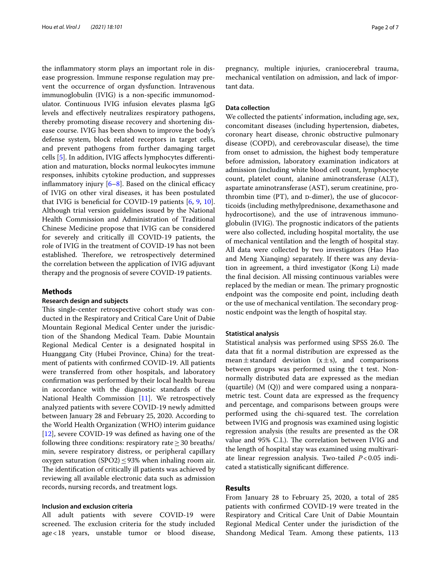the infammatory storm plays an important role in disease progression. Immune response regulation may prevent the occurrence of organ dysfunction. Intravenous immunoglobulin (IVIG) is a non-specifc immunomodulator. Continuous IVIG infusion elevates plasma IgG levels and efectively neutralizes respiratory pathogens, thereby promoting disease recovery and shortening disease course. IVIG has been shown to improve the body's defense system, block related receptors in target cells, and prevent pathogens from further damaging target cells [\[5\]](#page-6-4). In addition, IVIG afects lymphocytes diferentiation and maturation, blocks normal leukocytes immune responses, inhibits cytokine production, and suppresses inflammatory injury  $[6-8]$  $[6-8]$  $[6-8]$ . Based on the clinical efficacy of IVIG on other viral diseases, it has been postulated that IVIG is benefcial for COVID-19 patients [[6,](#page-6-5) [9,](#page-6-7) [10](#page-6-8)]. Although trial version guidelines issued by the National Health Commission and Administration of Traditional Chinese Medicine propose that IVIG can be considered for severely and critically ill COVID-19 patients, the role of IVIG in the treatment of COVID-19 has not been established. Therefore, we retrospectively determined the correlation between the application of IVIG adjuvant therapy and the prognosis of severe COVID-19 patients.

## **Methods**

# **Research design and subjects**

This single-center retrospective cohort study was conducted in the Respiratory and Critical Care Unit of Dabie Mountain Regional Medical Center under the jurisdiction of the Shandong Medical Team. Dabie Mountain Regional Medical Center is a designated hospital in Huanggang City (Hubei Province, China) for the treatment of patients with confrmed COVID-19. All patients were transferred from other hospitals, and laboratory confrmation was performed by their local health bureau in accordance with the diagnostic standards of the National Health Commission [[11](#page-6-9)]. We retrospectively analyzed patients with severe COVID-19 newly admitted between January 28 and February 25, 2020. According to the World Health Organization (WHO) interim guidance [[12\]](#page-6-10), severe COVID-19 was defned as having one of the following three conditions: respiratory rate  $\geq$  30 breaths/ min, severe respiratory distress, or peripheral capillary oxygen saturation (SPO2) $\leq$ 93% when inhaling room air. The identification of critically ill patients was achieved by reviewing all available electronic data such as admission records, nursing records, and treatment logs.

# **Inclusion and exclusion criteria**

All adult patients with severe COVID-19 were screened. The exclusion criteria for the study included age<18 years, unstable tumor or blood disease, pregnancy, multiple injuries, craniocerebral trauma, mechanical ventilation on admission, and lack of important data.

# **Data collection**

We collected the patients' information, including age, sex, concomitant diseases (including hypertension, diabetes, coronary heart disease, chronic obstructive pulmonary disease (COPD), and cerebrovascular disease), the time from onset to admission, the highest body temperature before admission, laboratory examination indicators at admission (including white blood cell count, lymphocyte count, platelet count, alanine aminotransferase (ALT), aspartate aminotransferase (AST), serum creatinine, prothrombin time  $(PT)$ , and  $D$ -dimer), the use of glucocorticoids (including methylprednisone, dexamethasone and hydrocortisone), and the use of intravenous immunoglobulin (IVIG). The prognostic indicators of the patients were also collected, including hospital mortality, the use of mechanical ventilation and the length of hospital stay. All data were collected by two investigators (Hao Hao and Meng Xianqing) separately. If there was any deviation in agreement, a third investigator (Kong Li) made the fnal decision. All missing continuous variables were replaced by the median or mean. The primary prognostic endpoint was the composite end point, including death or the use of mechanical ventilation. The secondary prognostic endpoint was the length of hospital stay.

## **Statistical analysis**

Statistical analysis was performed using SPSS 26.0. The data that ft a normal distribution are expressed as the mean $\pm$ standard deviation (x $\pm$ s), and comparisons between groups was performed using the t test. Nonnormally distributed data are expressed as the median (quartile) (M (Q)) and were compared using a nonparametric test. Count data are expressed as the frequency and percentage, and comparisons between groups were performed using the chi-squared test. The correlation between IVIG and prognosis was examined using logistic regression analysis (the results are presented as the OR value and 95% C.I.). The correlation between IVIG and the length of hospital stay was examined using multivariate linear regression analysis. Two-tailed *P*<0.05 indicated a statistically signifcant diference.

# **Results**

From January 28 to February 25, 2020, a total of 285 patients with confrmed COVID-19 were treated in the Respiratory and Critical Care Unit of Dabie Mountain Regional Medical Center under the jurisdiction of the Shandong Medical Team. Among these patients, 113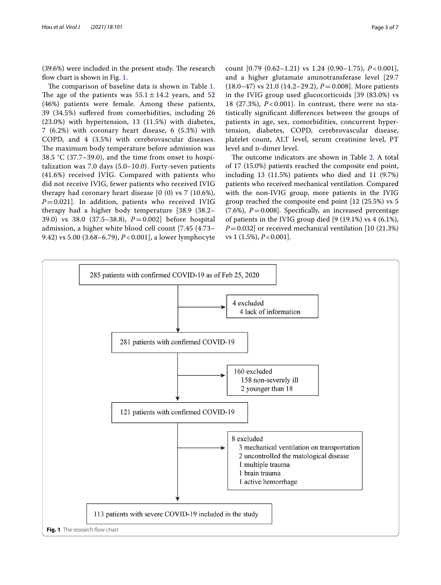$(39.6%)$  were included in the present study. The research flow chart is shown in Fig. [1](#page-2-0).

The comparison of baseline data is shown in Table [1](#page-3-0). The age of the patients was  $55.1 \pm 14.2$  years, and 52 (46%) patients were female. Among these patients, 39 (34.5%) sufered from comorbidities, including 26 (23.0%) with hypertension, 13 (11.5%) with diabetes, 7 (6.2%) with coronary heart disease, 6 (5.3%) with COPD, and 4 (3.5%) with cerebrovascular diseases. The maximum body temperature before admission was 38.5 °C (37.7–39.0), and the time from onset to hospitalization was 7.0 days (5.0–10.0). Forty-seven patients (41.6%) received IVIG. Compared with patients who did not receive IVIG, fewer patients who received IVIG therapy had coronary heart disease [0 (0) vs 7 (10.6%),  $P=0.021$ ]. In addition, patients who received IVIG therapy had a higher body temperature [38.9 (38.2– 39.0) vs 38.0 (37.5–38.8), *P*=0.002] before hospital admission, a higher white blood cell count [7.45 (4.73– 9.42) vs 5.00 (3.68–6.79), *P* < 0.001], a lower lymphocyte count [0.79 (0.62–1.21) vs 1.24 (0.90–1.75), *P* < 0.001], and a higher glutamate aminotransferase level [29.7 (18.0–47) vs 21.0 (14.2–29.2), *P*=0.008]. More patients in the IVIG group used glucocorticoids [39 (83.0%) vs 18 (27.3%), *P* < 0.001]. In contrast, there were no statistically signifcant diferences between the groups of patients in age, sex, comorbidities, concurrent hypertension, diabetes, COPD, cerebrovascular disease, platelet count, ALT level, serum creatinine level, PT level and p-dimer level.

The outcome indicators are shown in Table [2.](#page-3-1) A total of 17 (15.0%) patients reached the composite end point, including 13 (11.5%) patients who died and 11 (9.7%) patients who received mechanical ventilation. Compared with the non-IVIG group, more patients in the IVIG group reached the composite end point [12 (25.5%) vs 5  $(7.6\%)$ ,  $P=0.008$ ]. Specifically, an increased percentage of patients in the IVIG group died [9 (19.1%) vs 4 (6.1%), *P*=0.032] or received mechanical ventilation [10 (21.3%) vs 1 (1.5%), *P*<0.001].

<span id="page-2-0"></span>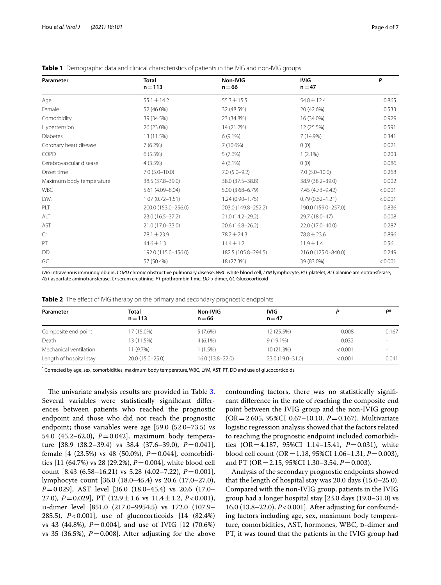| Parameter                | <b>Total</b><br>$n = 113$ | Non-IVIG<br>$n = 66$ | <b>IVIG</b><br>$n = 47$ | P       |
|--------------------------|---------------------------|----------------------|-------------------------|---------|
| Age                      | $55.1 \pm 14.2$           | $55.3 \pm 15.5$      | $54.8 \pm 12.4$         | 0.865   |
| Female                   | 52 (46.0%)                | 32 (48.5%)           | 20 (42.6%)              | 0.533   |
| Comorbidity              | 39 (34.5%)                | 23 (34.8%)           | 16 (34.0%)              | 0.929   |
| Hypertension             | 26 (23.0%)                | 14 (21.2%)           | 12 (25.5%)              | 0.591   |
| <b>Diabetes</b>          | 13 (11.5%)                | $6(9.1\%)$           | 7 (14.9%)               | 0.341   |
| Coronary heart disease   | $7(6.2\%)$                | 7(10.6%)             | 0(0)                    | 0.021   |
| COPD                     | $6(5.3\%)$                | 5(7.6%)              | $1(2.1\%)$              | 0.203   |
| Cerebrovascular disease  | $4(3.5\%)$                | $4(6.1\%)$           | 0(0)                    | 0.086   |
| Onset time               | $7.0(5.0-10.0)$           | $7.0(5.0-9.2)$       | $7.0(5.0-10.0)$         | 0.268   |
| Maximum body temperature | 38.5 (37.8-39.0)          | 38.0 (37.5 - 38.8)   | 38.9 (38.2-39.0)        | 0.002   |
| <b>WBC</b>               | $5.61(4.09 - 8.04)$       | $5.00(3.68 - 6.79)$  | 7.45 (4.73-9.42)        | < 0.001 |
| <b>LYM</b>               | $1.07(0.72 - 1.51)$       | $1.24(0.90 - 1.75)$  | $0.79(0.62 - 1.21)$     | < 0.001 |
| PLT                      | 200.0 (153.0-256.0)       | 203.0 (149.8-252.2)  | 190.0 (159.0-257.0)     | 0.836   |
| ALT                      | 23.0 (16.5-37.2)          | 21.0 (14.2-29.2)     | 29.7 (18.0-47)          | 0.008   |
| AST                      | 21.0 (17.0-33.0)          | 20.6 (16.8-26.2)     | 22.0 (17.0-40.0)        | 0.287   |
| Cr                       | $78.1 \pm 23.9$           | $78.2 \pm 24.3$      | $78.8 \pm 23.6$         | 0.896   |
| PT                       | $44.6 \pm 1.3$            | $11.4 \pm 1.2$       | $11.9 \pm 1.4$          | 0.56    |
| DD                       | 192.0 (115.0-456.0)       | 182.5 (105.8-294.5)  | 216.0 (125.0-840.0)     | 0.249   |
| GC                       | 57 (50.4%)                | 18 (27.3%)           | 39 (83.0%)              | < 0.001 |

<span id="page-3-0"></span>**Table 1** Demographic data and clinical characteristics of patients in the IVIG and non-IVIG groups

*IVIG* intravenous immunoglobulin, *COPD* chronic obstructive pulmonary disease, *WBC* white blood cell, *LYM* lymphocyte, *PLT* platelet, *ALT* alanine aminotransferase, *AST* aspartate aminotransferase, *Cr* serum creatinine, *PT* prothrombin time, *DD*  $p$ -dimer, *GC* Glucocorticoid

<span id="page-3-1"></span>

|  |  |  |  |  |  |  |  | Table 2 The effect of IVIG therapy on the primary and secondary prognostic endpoints |  |
|--|--|--|--|--|--|--|--|--------------------------------------------------------------------------------------|--|
|--|--|--|--|--|--|--|--|--------------------------------------------------------------------------------------|--|

| Parameter               | <b>Total</b><br>$n = 113$ | Non-IVIG<br>$n = 66$ | <b>IVIG</b><br>$n = 47$ |         | D*    |
|-------------------------|---------------------------|----------------------|-------------------------|---------|-------|
| Composite end point     | 17 (15.0%)                | 5(7.6%)              | 12 (25.5%)              | 0.008   | 0.167 |
| Death                   | 13 (11.5%)                | $4(6.1\%)$           | $9(19.1\%)$             | 0.032   |       |
| Mechanical ventilation  | 11 (9.7%)                 | 1 (1.5%)             | $10(21.3\%)$            | < 0.001 |       |
| Length of hospital stay | $20.0(15.0-25.0)$         | $16.0(13.8-22.0)$    | 23.0 (19.0-31.0)        | < 0.001 | 0.041 |

\* Corrected by age, sex, comorbidities, maximum body temperature, WBC, LYM, AST, PT, DD and use of glucocorticoids

The univariate analysis results are provided in Table [3](#page-4-0). Several variables were statistically signifcant diferences between patients who reached the prognostic endpoint and those who did not reach the prognostic endpoint; those variables were age [59.0 (52.0–73.5) vs 54.0 (45.2–62.0), *P*=0.042], maximum body temperature [38.9 (38.2–39.4) vs 38.4 (37.6–39.0), *P*=0.041], female [4 (23.5%) vs 48 (50.0%), *P*=0.044], comorbidities [11 (64.7%) vs 28 (29.2%), *P*=0.004], white blood cell count [8.43 (6.58–16.21) vs 5.28 (4.02–7.22), *P*=0.001], lymphocyte count [36.0 (18.0–45.4) vs 20.6 (17.0–27.0), *P*=0.029], AST level [36.0 (18.0–45.4) vs 20.6 (17.0– 27.0), *P*=0.029], PT (12.9±1.6 vs 11.4±1.2, *P*<0.001), d-dimer level [851.0 (217.0–9954.5) vs 172.0 (107.9– 285.5), *P*<0.001], use of glucocorticoids [14 (82.4%) vs 43 (44.8%), *P*=0.004], and use of IVIG [12 (70.6%) vs 35 (36.5%),  $P = 0.008$ ]. After adjusting for the above

confounding factors, there was no statistically signifcant diference in the rate of reaching the composite end point between the IVIG group and the non-IVIG group (OR=2.605, 95%CI 0.67–10.10, *P*=0.167). Multivariate logistic regression analysis showed that the factors related to reaching the prognostic endpoint included comorbidities (OR=4.187, 95%CI 1.14–15.41, *P*=0.031), white blood cell count (OR=1.18, 95%CI 1.06–1.31, *P*=0.003), and PT (OR=2.15, 95%CI 1.30–3.54, *P*=0.003).

Analysis of the secondary prognostic endpoints showed that the length of hospital stay was 20.0 days (15.0–25.0). Compared with the non-IVIG group, patients in the IVIG group had a longer hospital stay [23.0 days (19.0–31.0) vs 16.0 (13.8–22.0), *P*<0.001]. After adjusting for confounding factors including age, sex, maximum body temperature, comorbidities, AST, hormones, WBC, p-dimer and PT, it was found that the patients in the IVIG group had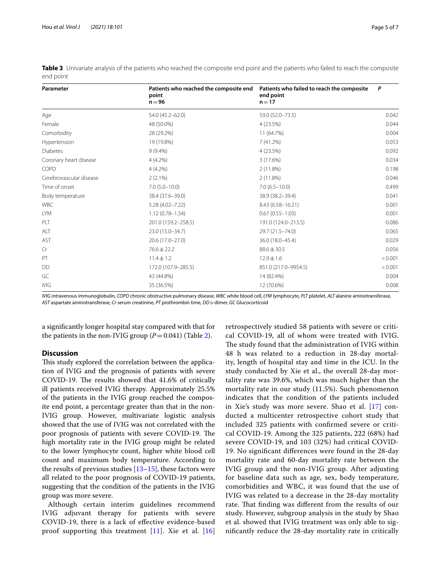| Parameter               | Patients who reached the composite end<br>point<br>$n = 96$ | Patients who failed to reach the composite<br>end point<br>$n = 17$ | P       |
|-------------------------|-------------------------------------------------------------|---------------------------------------------------------------------|---------|
| Age                     | 54.0 (45.2-62.0)                                            | 59.0 (52.0-73.5)                                                    | 0.042   |
| Female                  | 48 (50.0%)                                                  | 4 (23.5%)                                                           | 0.044   |
| Comorbidity             | 28 (29.2%)                                                  | 11 (64.7%)                                                          | 0.004   |
| Hypertension            | 19 (19.8%)                                                  | 7(41.2%)                                                            | 0.053   |
| <b>Diabetes</b>         | $9(9.4\%)$                                                  | 4(23.5%)                                                            | 0.092   |
| Coronary heart disease  | $4(4.2\%)$                                                  | 3 (17.6%)                                                           | 0.034   |
| COPD                    | $4(4.2\%)$                                                  | 2(11.8%)                                                            | 0.198   |
| Cerebrovascular disease | $2(2.1\%)$                                                  | 2(11.8%)                                                            | 0.046   |
| Time of onset           | $7.0(5.0 - 10.0)$                                           | $7.0(6.5 - 10.0)$                                                   | 0.499   |
| Body temperature        | 38.4 (37.6-39.0)                                            | 38.9 (38.2-39.4)                                                    | 0.041   |
| <b>WBC</b>              | $5.28(4.02 - 7.22)$                                         | 8.43 (6.58-16.21)                                                   | 0.001   |
| <b>LYM</b>              | $1.12(0.78 - 1.54)$                                         | $0.67(0.55 - 1.03)$                                                 | 0.001   |
| PLT                     | 201.0 (159.2-258.5)                                         | 191.0 (124.0-213.5)                                                 | 0.086   |
| ALT                     | 23.0 (15.0-34.7)                                            | 29.7 (21.5-74.0)                                                    | 0.065   |
| AST                     | 20.6 (17.0-27.0)                                            | 36.0 (18.0-45.4)                                                    | 0.029   |
| Cr                      | $76.6 \pm 22.2$                                             | $88.6 \pm 30.5$                                                     | 0.056   |
| PT                      | $11.4 \pm 1.2$                                              | $12.9 \pm 1.6$                                                      | < 0.001 |
| DD                      | 172.0 (107.9-285.5)                                         | 851.0 (217.0-9954.5)                                                | < 0.001 |
| GC                      | 43 (44.8%)                                                  | 14 (82.4%)                                                          | 0.004   |
| IVIG                    | 35 (36.5%)                                                  | 12 (70.6%)                                                          | 0.008   |

<span id="page-4-0"></span>**Table 3** Univariate analysis of the patients who reached the composite end point and the patients who failed to reach the composite end point

*IVIG* intravenous immunoglobulin, *COPD* chronic obstructive pulmonary disease, *WBC* white blood cell, *LYM* lymphocyte, *PLT* platelet, *ALT* alanine aminotransferase, *AST* aspartate aminotransferase, *Cr* serum creatinine, *PT* prothrombin time, *DD D*-dimer, *GC* Glucocorticoid

a signifcantly longer hospital stay compared with that for the patients in the non-IVIG group  $(P=0.041)$  (Table [2](#page-3-1)).

# **Discussion**

This study explored the correlation between the application of IVIG and the prognosis of patients with severe COVID-19. The results showed that 41.6% of critically ill patients received IVIG therapy. Approximately 25.5% of the patients in the IVIG group reached the composite end point, a percentage greater than that in the non-IVIG group. However, multivariate logistic analysis showed that the use of IVIG was not correlated with the poor prognosis of patients with severe COVID-19. The high mortality rate in the IVIG group might be related to the lower lymphocyte count, higher white blood cell count and maximum body temperature. According to the results of previous studies  $[13–15]$  $[13–15]$  $[13–15]$  $[13–15]$ , these factors were all related to the poor prognosis of COVID-19 patients, suggesting that the condition of the patients in the IVIG group was more severe.

Although certain interim guidelines recommend IVIG adjuvant therapy for patients with severe COVID-19, there is a lack of efective evidence-based proof supporting this treatment  $[11]$  $[11]$ . Xie et al.  $[16]$  $[16]$  retrospectively studied 58 patients with severe or critical COVID-19, all of whom were treated with IVIG. The study found that the administration of IVIG within 48 h was related to a reduction in 28-day mortality, length of hospital stay and time in the ICU. In the study conducted by Xie et al., the overall 28-day mortality rate was 39.6%, which was much higher than the mortality rate in our study (11.5%). Such phenomenon indicates that the condition of the patients included in Xie's study was more severe. Shao et al. [[17](#page-6-14)] conducted a multicenter retrospective cohort study that included 325 patients with confrmed severe or critical COVID-19. Among the 325 patients, 222 (68%) had severe COVID-19, and 103 (32%) had critical COVID-19. No signifcant diferences were found in the 28-day mortality rate and 60-day mortality rate between the IVIG group and the non-IVIG group. After adjusting for baseline data such as age, sex, body temperature, comorbidities and WBC, it was found that the use of IVIG was related to a decrease in the 28-day mortality rate. That finding was different from the results of our study. However, subgroup analysis in the study by Shao et al. showed that IVIG treatment was only able to signifcantly reduce the 28-day mortality rate in critically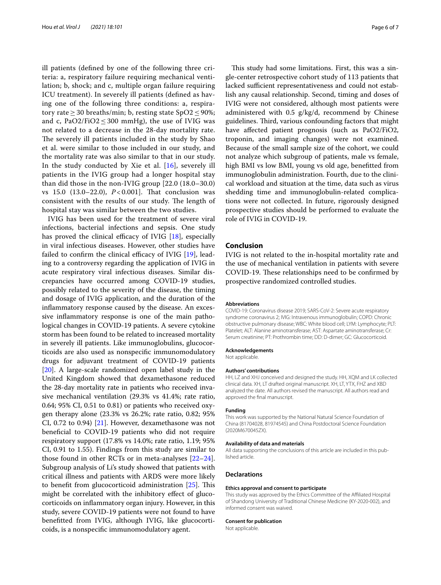ill patients (defned by one of the following three criteria: a, respiratory failure requiring mechanical ventilation; b, shock; and c, multiple organ failure requiring ICU treatment). In severely ill patients (defned as having one of the following three conditions: a, respiratory rate  $\geq$  30 breaths/min; b, resting state SpO2  $\leq$  90%; and c, PaO2/FiO2  $\leq$  300 mmHg), the use of IVIG was not related to a decrease in the 28-day mortality rate. The severely ill patients included in the study by Shao et al. were similar to those included in our study, and the mortality rate was also similar to that in our study. In the study conducted by Xie et al.  $[16]$  $[16]$ , severely ill patients in the IVIG group had a longer hospital stay than did those in the non-IVIG group [22.0 (18.0–30.0) vs 15.0 (13.0–22.0), *P* < 0.001]. Tat conclusion was consistent with the results of our study. The length of hospital stay was similar between the two studies.

IVIG has been used for the treatment of severe viral infections, bacterial infections and sepsis. One study has proved the clinical efficacy of IVIG  $[18]$  $[18]$ , especially in viral infectious diseases. However, other studies have failed to confirm the clinical efficacy of IVIG  $[19]$  $[19]$  $[19]$ , leading to a controversy regarding the application of IVIG in acute respiratory viral infectious diseases. Similar discrepancies have occurred among COVID-19 studies, possibly related to the severity of the disease, the timing and dosage of IVIG application, and the duration of the infammatory response caused by the disease. An excessive infammatory response is one of the main pathological changes in COVID-19 patients. A severe cytokine storm has been found to be related to increased mortality in severely ill patients. Like immunoglobulins, glucocorticoids are also used as nonspecifc immunomodulatory drugs for adjuvant treatment of COVID-19 patients [[20\]](#page-6-17). A large-scale randomized open label study in the United Kingdom showed that dexamethasone reduced the 28-day mortality rate in patients who received invasive mechanical ventilation (29.3% vs 41.4%; rate ratio, 0.64; 95% CI, 0.51 to 0.81) or patients who received oxygen therapy alone (23.3% vs 26.2%; rate ratio, 0.82; 95% CI, 0.72 to 0.94) [[21\]](#page-6-18). However, dexamethasone was not benefcial to COVID-19 patients who did not require respiratory support (17.8% vs 14.0%; rate ratio, 1.19; 95% CI, 0.91 to 1.55). Findings from this study are similar to those found in other RCTs or in meta-analyses [[22](#page-6-19)[–24](#page-6-20)]. Subgroup analysis of Li's study showed that patients with critical illness and patients with ARDS were more likely to benefit from glucocorticoid administration  $[25]$  $[25]$ . This might be correlated with the inhibitory efect of glucocorticoids on infammatory organ injury. However, in this study, severe COVID-19 patients were not found to have beneftted from IVIG, although IVIG, like glucocorticoids, is a nonspecifc immunomodulatory agent.

This study had some limitations. First, this was a single-center retrospective cohort study of 113 patients that lacked sufficient representativeness and could not establish any causal relationship. Second, timing and doses of IVIG were not considered, although most patients were administered with 0.5 g/kg/d, recommend by Chinese guidelines. Third, various confounding factors that might have afected patient prognosis (such as PaO2/FiO2, troponin, and imaging changes) were not examined. Because of the small sample size of the cohort, we could not analyze which subgroup of patients, male vs female, high BMI vs low BMI, young vs old age, beneftted from immunoglobulin administration. Fourth, due to the clinical workload and situation at the time, data such as virus shedding time and immunoglobulin-related complications were not collected. In future, rigorously designed prospective studies should be performed to evaluate the role of IVIG in COVID-19.

# **Conclusion**

IVIG is not related to the in-hospital mortality rate and the use of mechanical ventilation in patients with severe COVID-19. These relationships need to be confirmed by prospective randomized controlled studies.

#### **Abbreviations**

COVID-19: Coronavirus disease 2019; SARS-CoV-2: Severe acute respiratory syndrome coronavirus 2; IVIG: Intravenous immunoglobulin; COPD: Chronic obstructive pulmonary disease; WBC: White blood cell; LYM: Lymphocyte; PLT: Platelet; ALT: Alanine aminotransferase; AST: Aspartate aminotransferase; Cr: Serum creatinine; PT: Prothrombin time; DD: D-dimer; GC: Glucocorticoid.

## **Acknowledgements**

Not applicable.

#### **Authors' contributions**

HH, LZ and XHJ conceived and designed the study. HH, XQM and LK collected clinical data. XH, LT drafted original manuscript. XH, LT, YTX, FHZ and XBD analyzed the date. All authors revised the manuscript. All authors read and approved the fnal manuscript.

#### **Funding**

This work was supported by the National Natural Science Foundation of China (81704028, 81974545) and China Postdoctoral Science Foundation (2020M670045ZX).

#### **Availability of data and materials**

All data supporting the conclusions of this article are included in this published article.

### **Declarations**

#### **Ethics approval and consent to participate**

This study was approved by the Ethics Committee of the Afliated Hospital of Shandong University of Traditional Chinese Medicine (KY-2020-002), and informed consent was waived.

#### **Consent for publication**

Not applicable.